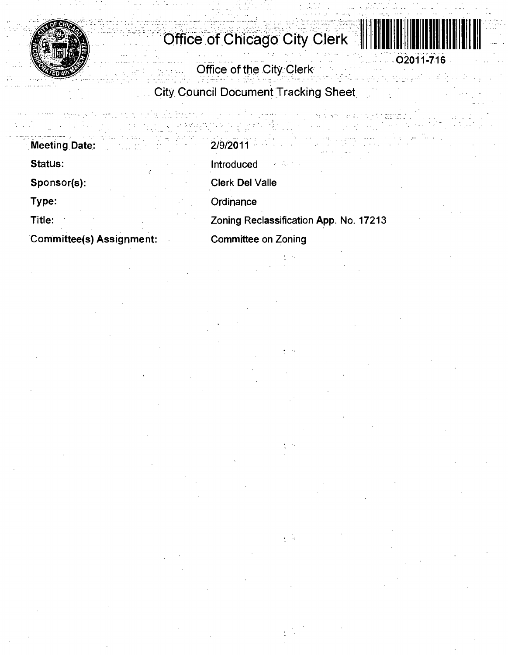

# **' Office of Chicago City Clerk**



**Office of the City Clerk** 

**City Council Document Tracking Sheet** 

**Meeting Date: Status: Sponsor(s): Type: Title: Committee(s) Assignment:**  2/9/2011 Introduced Clerk Del Valle **Ordinance** Zoning Reclassification App. No. 17213

Committee on Zoning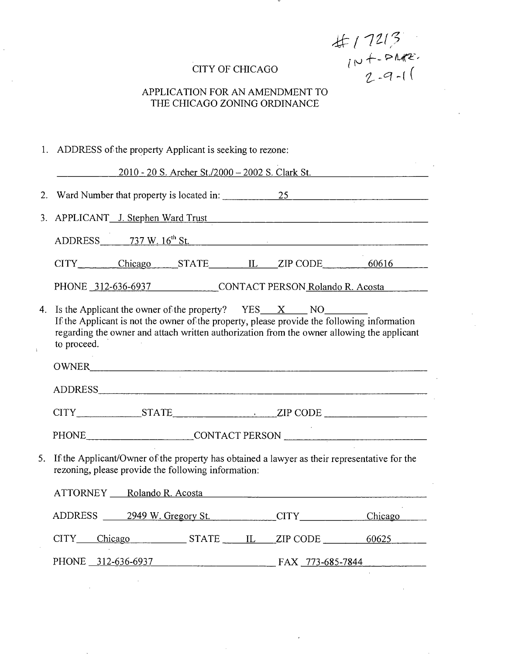CITY OF CHICAGO<br>  $\uparrow \downarrow \downarrow \rightarrow PMR$ <br>  $\downarrow \downarrow \rightarrow PMR$ <br>  $\downarrow \downarrow \rightarrow PMR$ <br>  $\downarrow \downarrow \rightarrow PMR$ 

# CITY OF CHICAGO

# THE CHICAGO ZONING ORDINANCE

|    | 1. ADDRESS of the property Applicant is seeking to rezone:                                                                                                                                                                                                             |  |  |
|----|------------------------------------------------------------------------------------------------------------------------------------------------------------------------------------------------------------------------------------------------------------------------|--|--|
|    | 2010 - 20 S. Archer St./2000 - 2002 S. Clark St.                                                                                                                                                                                                                       |  |  |
| 2. | Ward Number that property is located in: 25                                                                                                                                                                                                                            |  |  |
| 3. | APPLICANT J. Stephen Ward Trust                                                                                                                                                                                                                                        |  |  |
|    | ADDRESS 737 W. 16 <sup>th</sup> St.                                                                                                                                                                                                                                    |  |  |
|    | CITY Chicago STATE IL ZIP CODE 60616                                                                                                                                                                                                                                   |  |  |
|    | PHONE 312-636-6937 CONTACT PERSON Rolando R. Acosta                                                                                                                                                                                                                    |  |  |
| 4. | Is the Applicant the owner of the property? $YES\_X$ NO NO<br>If the Applicant is not the owner of the property, please provide the following information<br>regarding the owner and attach written authorization from the owner allowing the applicant<br>to proceed. |  |  |
|    | OWNER                                                                                                                                                                                                                                                                  |  |  |
|    | ADDRESS AND AREA AND AREA AND AREA AND AREA AND AREA AND AREA AND AREA AND AREA AND AREA AND AREA AND AREA AND                                                                                                                                                         |  |  |
|    | CITY STATE STATE ZIP CODE                                                                                                                                                                                                                                              |  |  |
|    | PHONE ________________________CONTACT PERSON ___________________________________                                                                                                                                                                                       |  |  |
|    | 5. If the Applicant/Owner of the property has obtained a lawyer as their representative for the<br>rezoning, please provide the following information:                                                                                                                 |  |  |
|    | ATTORNEY Rolando R. Acosta Republica est anno 1992                                                                                                                                                                                                                     |  |  |
|    | ADDRESS 2949 W. Gregory St. CITY CHECK CHECK                                                                                                                                                                                                                           |  |  |
|    | CITY Chicago STATE IL ZIP CODE 60625                                                                                                                                                                                                                                   |  |  |
|    | PHONE 312-636-6937 FAX 773-685-7844                                                                                                                                                                                                                                    |  |  |
|    |                                                                                                                                                                                                                                                                        |  |  |

 $\Delta \sim 1$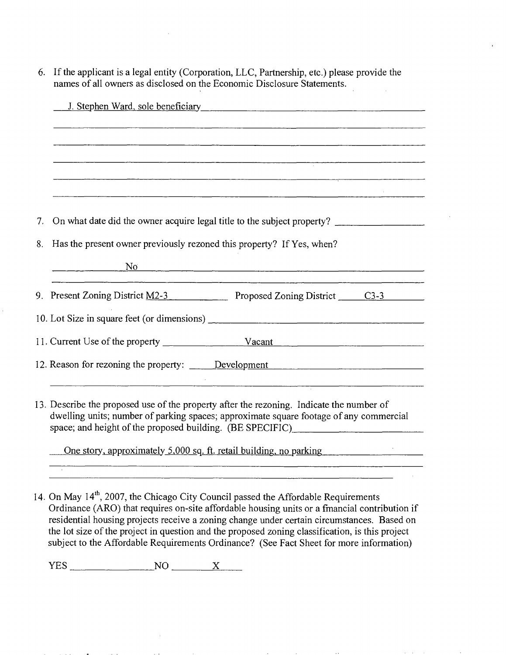6. If the applicant is a legal entity (Corporation, LLC, Partnership, etc.) please provide the names of all owners as disclosed on the Economic Disclosure Statements.

|    | J. Stephen Ward, sole beneficiary Manual Assembly of Stephen Ward, sole beneficiary                                                                                                                                                             |  |
|----|-------------------------------------------------------------------------------------------------------------------------------------------------------------------------------------------------------------------------------------------------|--|
|    |                                                                                                                                                                                                                                                 |  |
|    |                                                                                                                                                                                                                                                 |  |
|    | <u> 1989 - Johann Start, martin film yn y brenin y brenin y gweledyn y gynnydd y gynnydd y gynnwys y gynnwys y g</u>                                                                                                                            |  |
|    |                                                                                                                                                                                                                                                 |  |
|    |                                                                                                                                                                                                                                                 |  |
| 7. | On what date did the owner acquire legal title to the subject property?                                                                                                                                                                         |  |
| 8. | Has the present owner previously rezoned this property? If Yes, when?                                                                                                                                                                           |  |
|    | No metal contract to the contract of the contract of the contract of the contract of the contract of the contract of the contract of the contract of the contract of the contract of the contract of the contract of the contr                  |  |
|    | 9. Present Zoning District M2-3 Proposed Zoning District C3-3                                                                                                                                                                                   |  |
|    |                                                                                                                                                                                                                                                 |  |
|    |                                                                                                                                                                                                                                                 |  |
|    |                                                                                                                                                                                                                                                 |  |
|    | 13. Describe the proposed use of the property after the rezoning. Indicate the number of<br>dwelling units; number of parking spaces; approximate square footage of any commercial<br>space; and height of the proposed building. (BE SPECIFIC) |  |
|    | <u>One story, approximately 5,000 sq. ft. retail building, no parking equal</u>                                                                                                                                                                 |  |

14. On May 14<sup>th</sup>, 2007, the Chicago City Council passed the Affordable Requirements Ordinance (ARO) that requires on-site affordable housing units or a fmancial contribution if residential housing projects receive a zoning change under certain circumstances. Based on the lot size of the project in question and the proposed zoning classification, is this project subject to the Affordable Requirements Ordinance? (See Fact Sheet for more information)

<u> 1980 - Johann Barbara, martin da basar da basar da basar da basar da basar da basar da basar da basar da basa</u>

 $YES$  NO  $X$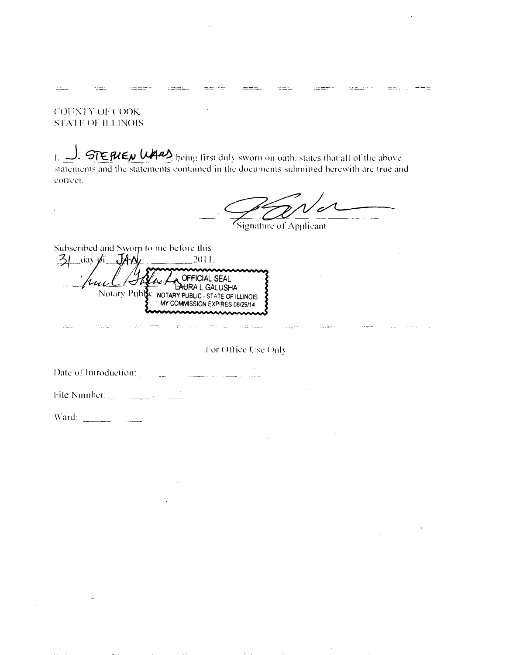**COUNTY OF COOK STATE OF HAINOIS** 

 $\sim$   $\pm$   $\sim$ 

 $z = z$ 

 $\mathcal{I}$ 

للمتدة

1.  $\Box$ . STEPLEN UPP being first duly sworn on oath. states that all of the above statements and the statements contained in the documents submitted herewith are true and correet.

Signature of Applicant

 $\mathbb{Z}^m$  and  $\mathbb{Z}^{n-1}$ 

la static

 $= -1$ 

 $\equiv$   $\equiv$  .

 $\alpha_{\rm LFT}$  , and  $\alpha_{\rm LFT}$ 

Subscribed and Sworn to me before this

31 day of JAN 2011. The Corrical SEAL  $u_{\nu\mu}$ Notary Public NOTARY PUBLIC - STATE OF ILLINOIS

For Office Use Only

iz Kale

Date of Introduction: aka sa ma<del>nana</del>n da sa<del>na</del>na s

File Number:  $\mathbb{Z}^2$  and  $\mathbb{Z}^2$ 

Ward:

s alguns

 $\mathbf{r}$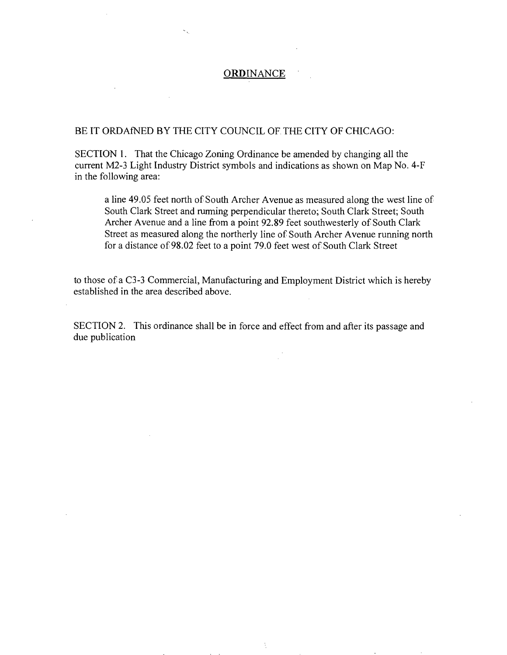#### **ORDINANCE**

#### BE IT ORDAINED BY THE CITY COUNCIL OF THE CITY OF CHICAGO:

SECTION 1. That the Chicago Zoning Ordinance be amended by changing all the current M2-3 Light Industry District symbols and indications as shown on Map No. 4-F in the following area:

a line 49.05 feet north of South Archer Avenue as measured along the west line of South Clark Street and rurming perpendicular thereto; South Clark Street; South Archer Avenue and a line from a point 92.89 feet southwesterly of South Clark Street as measured along the northerly line of South Archer Avenue running north for a distance of 98.02 feet to a point 79.0 feet west of South Clark Street

to those of a C3-3 Commercial, Manufacturing and Employment District which is hereby established in the area described above.

SECTION 2. This ordinance shall be in force and effect from and after its passage and due publication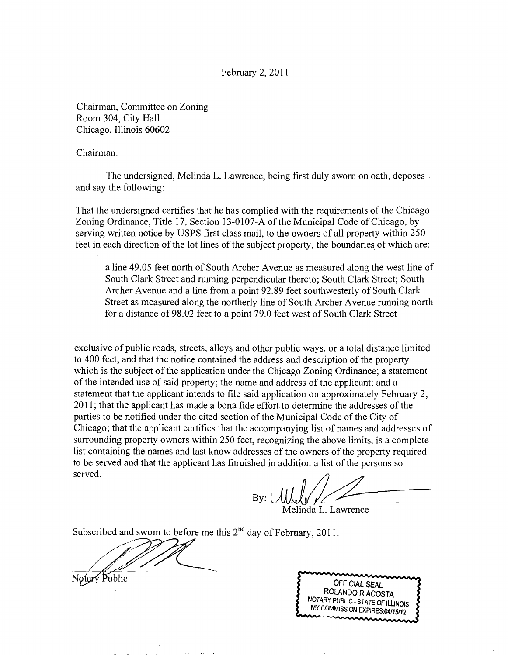#### February 2,2011

Chairman, Committee on Zoning Room 304, City Hall Chicago, Illinois 60602

#### Chairman:

The undersigned, Melinda L. Lawrence, being first duly sworn on oath, deposes and say the following:

That the undersigned certifies that he has complied with the requirements of the Chicago Zoning Ordinance, Title 17, Section 13-0107-A of the Municipal Code of Chicago, by serving written notice by USPS first class mail, to the owners of all property within 250 feet in each direction of the lot lines of the subject property, the boundaries of which are:

a line 49.05 feet north of South Archer Avenue as measured along the west line of South Clark Street and ruiming perpendicular thereto; South Clark Street; South Archer Avenue and a line from a point 92.89 feet southwesterly of South Clark Street as measured along the northerly line of South Archer Avenue running north for a distance of 98.02 feet to a point 79.0 feet west of South Clark Street

exclusive of public roads, streets, alleys and other public ways, or a total distance limited to 400 feet, and that the notice contained the address and description of the property which is the subject of the application under the Chicago Zoning Ordinance; a statement of the intended use of said property; the name and address of the applicant; and a statement that the applicant intends to file said application on approximately February 2, 2011; that the applicant has made a bona fide effort to determine the addresses of the parties to be notified under the cited section of the Municipal Code of the City of Chicago; that the applicant certifies that the accompanying list of names and addresses of surrounding property owners within 250 feet, recognizing the above limits, is a complete list containing the names and last know addresses of the owners of the property required to be served and that the applicant has fiimished in addition a list of the persons so served.

 $Bv:$ Melinda L. Lawrence

Subscribed and swom to before me this  $2<sup>nd</sup>$  day of February, 2011.

Notary Public

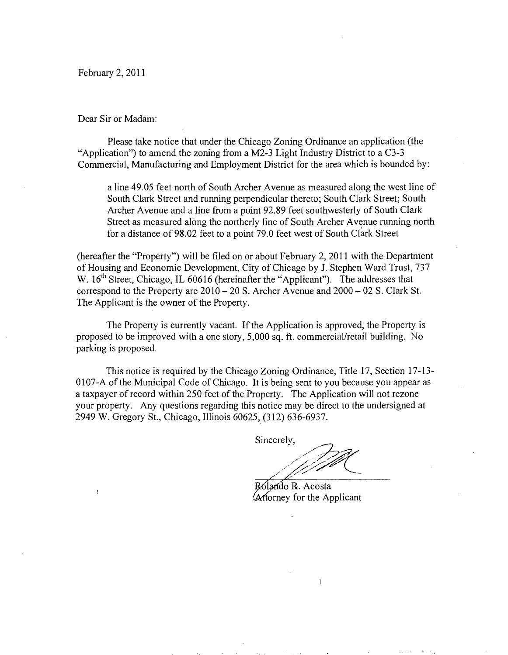February 2, 2011

Dear Sir or Madam:

Please take notice that under the Chicago Zoning Ordinance an application (the "Application") to amend the zoning from a M2-3 Light Industry District to a C3-3 Commercial, Manufacturing and Employment District for the area which is bounded by:

a line 49.05 feet north of South Archer Avenue as measured along the west line of South Clark Street and running perpendicular thereto; South Clark Street; South Archer Avenue and a line from a point 92.89 feet southwesterly of South Clark Street as measured along the northerly line of South Archer Avenue running north for a distance of 98.02 feet to a point 79.0 feet west of South Clark Street

(hereafter the "Property") will be filed on or about Febmary 2, 2011 with the Departnient of Housing and Economic Development, City of Chicago by J. Stephen Ward Trust, 737 W. 16<sup>th</sup> Street, Chicago, IL 60616 (hereinafter the "Applicant"). The addresses that correspond to the Property are  $2010 - 20$  S. Archer Avenue and  $2000 - 02$  S. Clark St. The Applicant is the owner of the Property.

The Property is currently vacant. If the Application is approved, the Property is proposed to be improved with a one story, 5,000 sq. ft. commercial/retail building. No parking is proposed.

This notice is required by the Chicago Zoning Ordinance, Title 17, Section 17-13- 0107-A of the Municipal Code of Chicago. It is being sent to you because you appear as a taxpayer of record within 250 feet of the Property. The Application will not rezone your property. Any questions regarding this notice may be direct lo the undersigned at 2949 W. Gregory SL, Chicago, Illinois 60625, (312) 636-6937.

Sincerely,

Rólando R. Acosta ^ftorney for the Applicant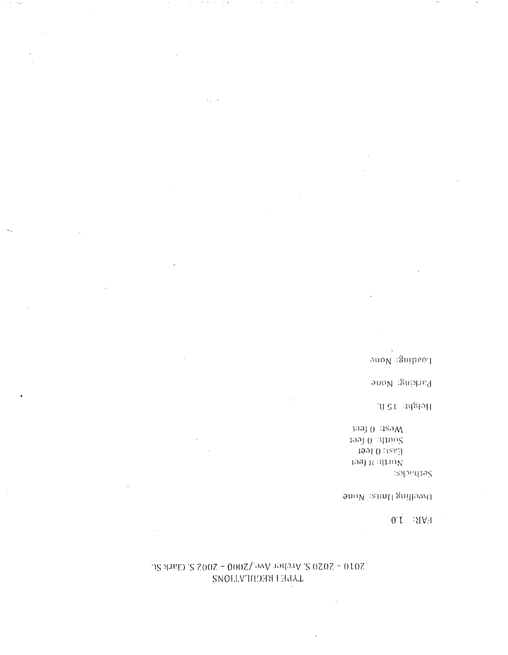# 3010 - 3020 2' 914, 914 MAC NOO - 3002 2' CHINA 20 TYPE I REGILIATIONS

 $\mathcal{A}(\mathcal{A})$  , where  $\mathcal{A}(\mathcal{A})$  and  $\mathcal{A}(\mathcal{A})$ 

 $\epsilon_{\rm{eff}}$  .

 $\sim$ 

 $\alpha$  ,  $\alpha$  ,  $\beta$  ,  $\beta$  ,  $\beta$  ,  $\beta$ 

 $\sigma=0.15$ 

# $[0,1] \cup [0,1]$

 $\mathbb{R}^3$ 

# $\mathfrak{g}\mathfrak{u}\mathfrak{o} N$  ,<br>alimit gniffowd

 $\sim$ 

# sapequas

109J 0 380M 1991 0 : dtuo2  $-199101884$ 1991 8 14110N

 $\sim$ 

# of angles as ft.

 $\mathfrak{su} \mathfrak{a}_N$ :<br>Support

 $\mathfrak{ouo}_N$ : Suipeoq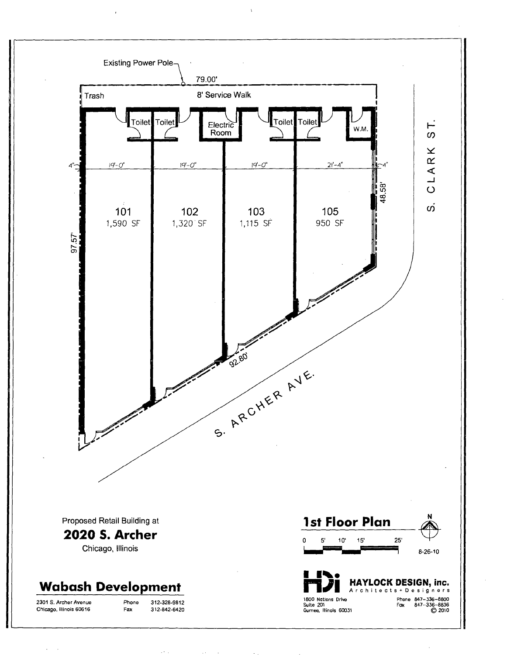

 $\cdot$ 

 $\bar{1}$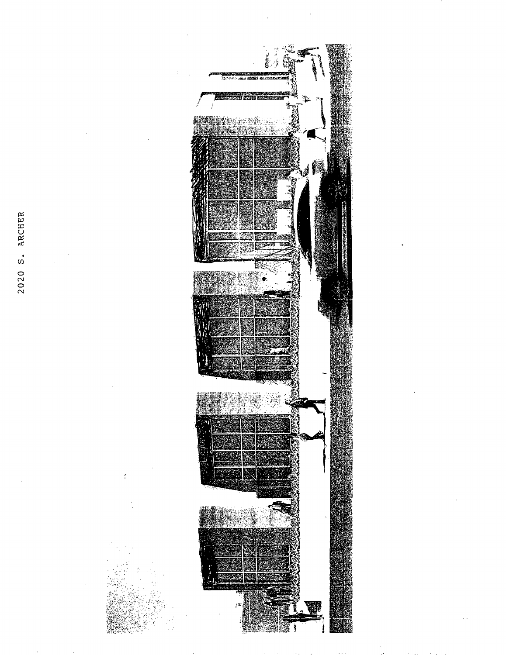2020 S. ARCHER

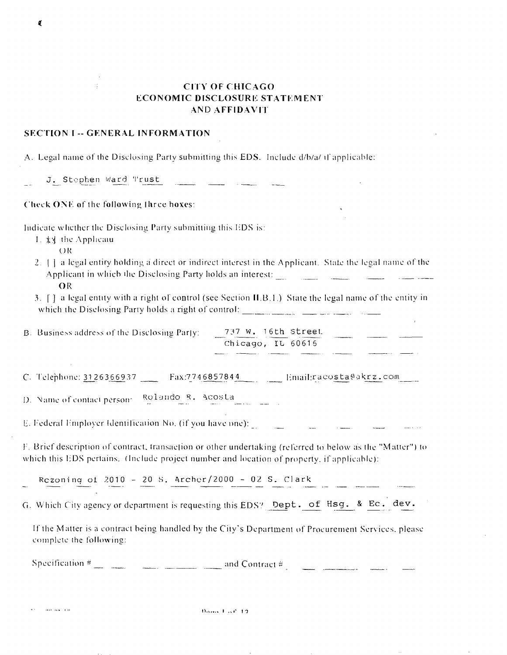#### **CITY OF CHICAGO ECONOMIC DISCLOSURE STATEMENT AND AFFIDAVIT**

#### **SECTION I -- GENERAL INFORMATION**

A. Legal name of the Disclosing Party submitting this EDS. Include d/b/a/ if applicable:

J. Stephen Ward Trust

Check ONE of the following three hoxes:

Indicate whether the Disclosing Party submitting this EDS is:

- 1. **\*** St the Applicaiu
	- $QR$

1

- 2. [1] a legal entity holding a direct or indirect interest in the Applicant. State the legal name of the Applicant in which the Disclosing Party holds an interest:
	- OR

ماجور المتمارك

3. [1] a legal entity with a right of control (see Section II.B.1.) State the legal name of the entity in 

737 W. 16th Street B. Business address of the Disclosing Party: Chicago, IL 60616 <u>a</u> mari

C. Telephone: 3126366937 Fax:7746857844 Email:racosta@akrz.com

D. Name of contact person:  $\frac{Rollando}{m}$  R. Acosta

E. Federal Employer Identification No. (if you have one):

F. Brief description of contract, transaction or other undertaking (referred to below as the "Matter") to which this EDS pertains. (Include project number and location of property, if applicable):

and the company of the company of the company of the company of the company of the company of the company of the company of the company of the company of the company of the company of the company of the company of the comp

Rezoning of 2010 - 20 S. Archer/2000 - 02 S. Clark

G. Which City agency or department is requesting this EDS? Dept. of Hsg. & Ec. dev.

If the Matter is a contract being handled by the City's Department of Procurement Services, please complete the following:

Specification  $\frac{2}{\pi}$  and Contract  $\frac{2}{\pi}$  and Contract  $\frac{2}{\pi}$  and Contract  $\frac{2}{\pi}$  and Contract  $\frac{2}{\pi}$ 

Dono  $1.56, 12$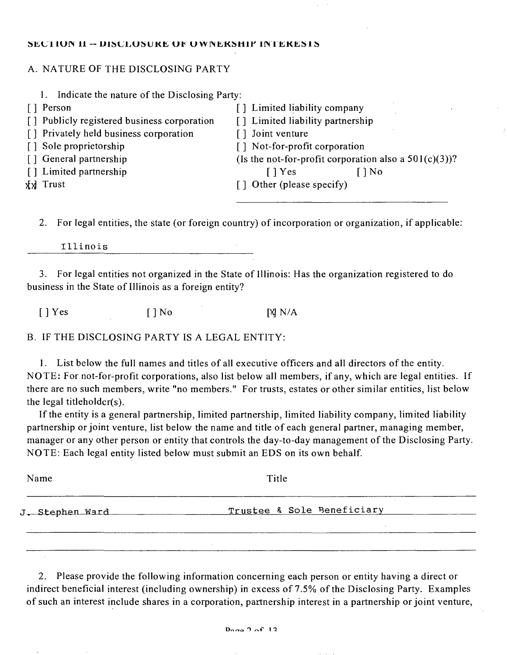#### SECTION II -- DISCLOSUKE OF OWNERSHIP INTERESIS

#### A. NATURE OF THE DISCLOSING PARTY

| Indicate the nature of the Disclosing Party: |                                                          |
|----------------------------------------------|----------------------------------------------------------|
| [ ] Person                                   | [] Limited liability company                             |
| [] Publicly registered business corporation  | [] Limited liability partnership                         |
| [] Privately held business corporation       | [] Joint venture                                         |
| [] Sole proprietorship                       | [] Not-for-profit corporation                            |
| [] General partnership                       | (Is the not-for-profit corporation also a $501(c)(3)$ )? |
| [] Limited partnership                       | $\lceil$   Yes<br>[ ] No                                 |
| <b>xxl</b> Trust                             | [] Other (please specify)                                |
|                                              |                                                          |

2. For legal entities, the state (or foreign country) of incorporation or organization, if applicable:

Illinois

3. For legal entities not organized in the State of Illinois: Has the organization registered to do business in the State of Illinois as a foreign entity?

 $[$   $]$  Yes  $[$   $]$  No  $[$   $]$  N/A

B. IF THE DISCLOSING PARTY IS A LEGAL ENTITY:

1. List below the full names and titles of all executive officers and all directors of the entity. NOTE: For not-for-profit corporations, also list below all members, if any, which are legal entities. If there are no such members, write "no members." For trusts, estates or other similar entities, list below the legal titleholdcr(s).

If the entity is a general partnership, limited partnership, limited liability company, limited liability partnership or joint venture, list below the name and title of each general partner, managing member, manager or any other person or entity that controls the day-to-day management of the Disclosing Party. NOTE: Each legal entity listed below must submit an EDS on its own behalf.

| Name            | Title                      |  |
|-----------------|----------------------------|--|
| J. Stephen Ward | Trustee & Sole Beneficiary |  |
|                 |                            |  |
|                 |                            |  |

2. Please provide the following information concerning each person or entity having a direct or indirect beneficial interest (including ownership) in excess of 7.5% of the Disclosing Party. Examples of such an interest include shares in a corporation, partnership interest in a partnership or joint venture,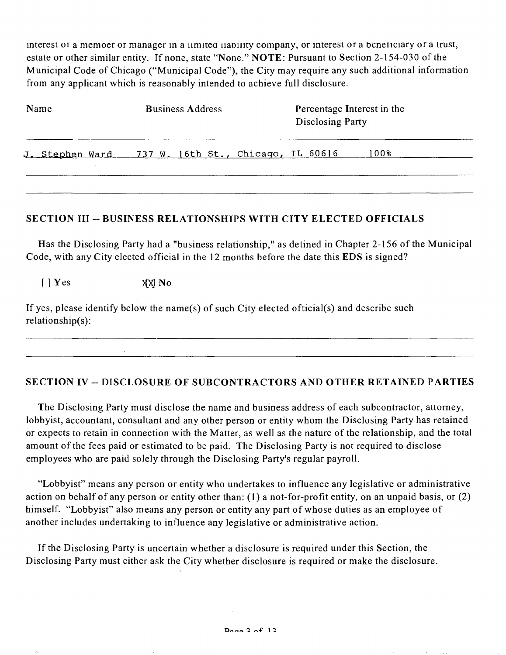interest 01 a memoer or manager in a iimited iiability company, or interest or a bcneficiary or a trust, estate or other similar entity. If none, state "None." NOTE: Pursuant to Section 2-154-030 of the Municipal Code of Chicago ("Municipal Code"), the City may require any such additional information from any applicant which is reasonably intended to achieve full disclosure.

| Name | <b>Business Address</b>                            | Percentage Interest in the<br><b>Disclosing Party</b> |  |
|------|----------------------------------------------------|-------------------------------------------------------|--|
|      | J. Stephen Ward 737 W. 16th St., Chicago, IL 60616 | 100%                                                  |  |

#### **SECTION III - BUSINESS RELATIONSHIPS WITH CITY ELECTED OFFICIALS**

Has the Disclosing Party had a "business relationship," as detined in Chapter 2-156 of the Municipal Code, with any City elected official in the 12 months before the date this EDS is signed?

 $\begin{bmatrix} \end{bmatrix}$  Yes  $\begin{bmatrix} \frac{1}{2} & \frac{1}{2} \\ \frac{1}{2} & \frac{1}{2} \end{bmatrix}$  Yo

If yes, please identify below the name(s) of such City elected official(s) and describe such relationship(s):

## **SECTION IV - DISCLOSURE OF SUBCONTRACTORS AND OTHER RETAINED PARTIES**

The Disclosing Party must disclose the name and business address of each subcontractor, attorney, lobbyist, accountant, consultant and any other person or entity whom the Disclosing Party has retained or expects to retain in connection with the Matter, as well as the nature of the relationship, and the total amount of the fees paid or estimated to be paid. The Disclosing Party is not required to disclose employees who are paid solely through the Disclosing Party's regular payroll.

"Lobbyist" means any person or entity who undertakes to influence any legislafive or administrative action on behalf of any person or entity other than: (1) a not-for-profit entity, on an unpaid basis, or (2) himself. "Lobbyist" also means any person or entity any part of whose duties as an employee of another includes undertaking to influence any legislative or administrative action.

If the Disclosing Party is uncertain whether a disclosure is required under this Section, the Disclosing Party must either ask the City whether disclosure is required or make the disclosure.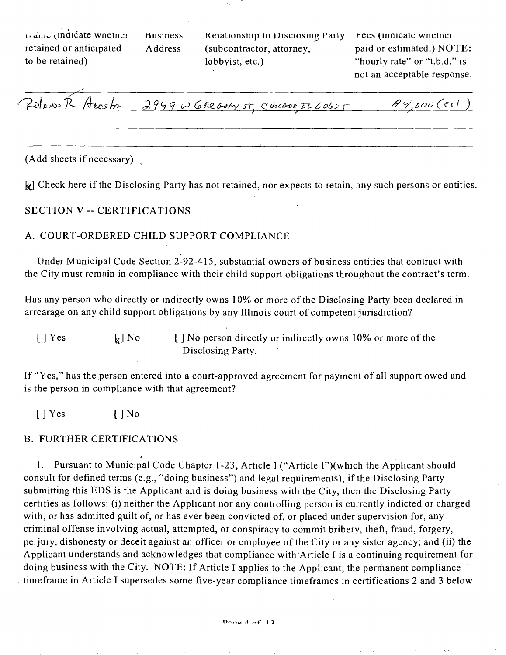ixauic (indicate wnetner retained or anticipated to be retained)

Business Keiationship to Disciosmg Party Address (subcontractor, attorney, lobbyist, etc.)

^ees (^inaicate wnetner paid or estimated.) NOTE: "hourly rate" or "t.b.d." is not an acceptable response.

 $P$  dans  $\tilde{R}$ . A cost  $2949$  w 6 ne over  $s$ r, chave  $p$  60625  $p$ 

(Add sheets if necessary)

 $\mathbf{F}$  **Check here if the Disclosing Party has not retained, nor expects to retain, any such persons or entities.** 

**SECTION V - CERTIFICATIONS** 

#### A. COURT-ORDERED CHILD SUPPORT COMPLIANCE

Under Municipal Code Section 2-92-415, substantial owners of business entities that contract with the City must remain in compliance with their child support obligations throughout the contract's term.

Has any person who directly or indirectly owns 10% or more of the Disclosing Party been declared in arrearage on any child support obligations by any Illinois court of competent jurisdicfion?

 $[ ]$  Yes  $[ ]$  No  $[ ]$  No person directly or indirectly owns 10% or more of the Disclosing Party.

If "Yes," has the person entered into a court-approved agreement for payment of all support owed and is the person in compliance with that agreement?

[ ] Yes [ ] No

#### B. FURTHER CERTIFICATIONS

1. Pursuant to Municipal Code Chapter 1-23, Article 1 ("Article I")(which the Applicant should consult for defined terms (e.g., "doing business") and legal requirements), if the Disclosing Party submitting this EDS is the Applicant and is doing business with the City, then the Disclosing Party certifies as follows: (i) neither the Applicant nor any controlling person is currently indicted or charged with, or has admitted guilt of, or has ever been convicted of, or placed under supervision for, any criminal offense involving actual, attempted, or conspiracy to commit bribery, theft, fraud, forgery, perjury, dishonesty or deceit against an officer or employee of the City or any sister agency; and (ii) the Applicant understands and acknowledges that compliance with Article I is a continuing requirement for doing business with the City. NOTE: If Arficle I applies to the Applicant, the permanent compliance timeframe in Article I supersedes some five-year compliance timeframes in certifications 2 and 3 below.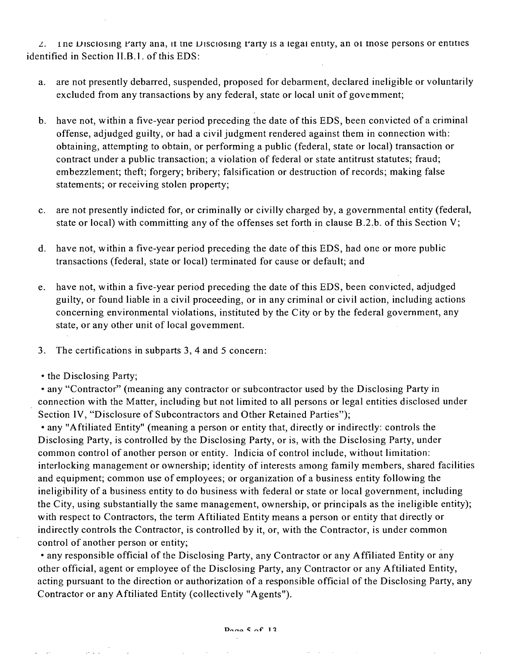$\angle$ . Ine Disclosing Party ana, it the Disclosing t'arty is a legal entity, an of those persons or entities identified in Section II.B.1. of this EDS:

- a. are not presently debarred, suspended, proposed for debarment, declared ineligible or voluntarily excluded from any transactions by any federal, state or local unit of govemment;
- b. have not, within a five-year period preceding the date of this EDS, been convicted of a criminal offense, adjudged guilty, or had a civil judgment rendered against them in connection with: obtaining, attempting to obtain, or performing a public (federal, state or local) transaction or contract under a public transaction; a violation of federal or state antitrust statutes; fraud; embezzlement; theft; forgery; bribery; falsification or destruction of records; making false statements; or receiving stolen property;
- c. are not presently indicted for, or criminally or civilly charged by, a governmental entity (federal, state or local) with committing any of the offenses set forth in clause  $B.2.b$ . of this Section V;
- d. have not, within a five-year period preceding the date of this EDS, had one or more public transactions (federal, state or local) terminated for cause or default; and
- e. have not, within a five-year period preceding the date of this EDS, been convicted, adjudged guilty, or found liable in a civil proceeding, or in any criminal or civil action, including actions concerning environmental violations, insfituted by the City or by the federal government, any state, or any other unit of local govemment.
- 3. The certifications in subparts 3, 4 and 5 concern:
- the Disclosing Party;

• any "Contractor" (meaning any contractor or subcontractor used by the Disclosing Party in connection with the Matter, including but not limited to all persons or legal entities disclosed under Section IV, "Disclosure of Subcontractors and Other Retained Parties");

• any "Affiliated Entity" (meaning a person or entity that, directly or indirectly: controls the Disclosing Party, is controlled by the Disclosing Party, or is, with the Disclosing Party, under common control of another person or entity. Indicia of control include, without limitafion: interlocking management or ownership; identity of interests among family members, shared facilities and equipment; common use of employees; or organization of a business entity following the ineligibility of a business entity to do business with federal or state or local government, including the City, using substantially the same management, ownership, or principals as the ineligible entity); with respect to Contractors, the term Affiliated Entity means a person or entity that directly or indirectly controls the Contractor, is controlled by it, or, with the Contractor, is under common control of another person or entity;

• any responsible official of the Disclosing Party, any Contractor or any Affiliated Entity or any other official, agent or employee of the Disclosing Party, any Contractor or any Aftiliated Entity, acting pursuant to the direction or authorization of a responsible official of the Disclosing Party, any Contractor or any Affiliated Entity (collectively "Agents").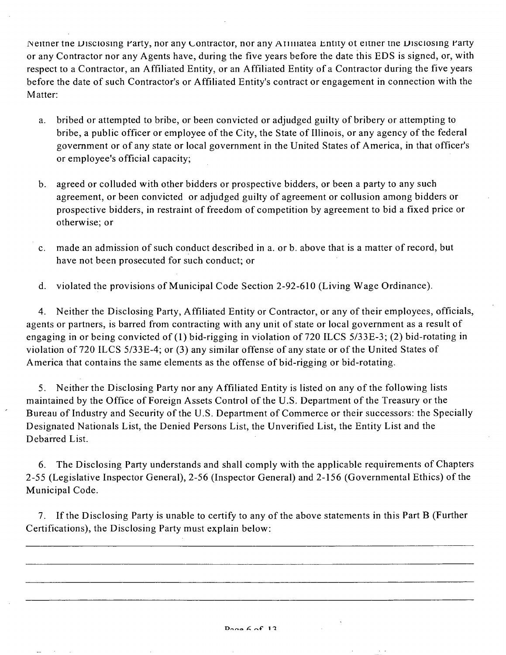Neitner tne Disclosing Party, nor any Contractor, nor any ATiiliatea Entity ot eitner tne Disclosing Party or any Contractor nor any Agents have, during the five years before the date this EDS is signed, or, with respect to a Contractor, an Affiliated Entity, or an Affiliated Enfity of a Contractor during the five years before the date of such Contractor's or Affiliated Entity's contract or engagement in connection with the Matter:

- a. bribed or attempted to bribe, or been convicted or adjudged guilty of bribery or attempting to bribe, a public officer or employee of the City, the State of Illinois, or any agency of the federal govemment or of any state or local government in the United States of America, in that officer's or employee's official capacity;
- b. agreed or colluded with other bidders or prospective bidders, or been a party to any such agreement, or been convicted or adjudged guilty of agreement or collusion among bidders or prospective bidders, in restraint of freedom of competition by agreement to bid a fixed price or otherwise; or
- c. made an admission of such conduct described in a. or b. above that is a matter of record, but have not been prosecuted for such conduct; or
- d. violated the provisions of Municipal Code Secfion 2-92-610 (Living Wage Ordinance).

4. Neither the Disclosing Party, Affiliated Entity or Contractor, or any of their employees, officials, agents or partners, is barred from contracting with any unit of state or local govemment as a result of engaging in or being convicted of (1) bid-rigging in violation of 720 ILCS 5/33E-3; (2) bid-rotating in violation of 720 ILCS 5/33E-4; or (3) any similar offense of any state or of the United States of America that contains the same elements as the offense of bid-rigging or bid-rotating.

5. Neither the Disclosing Party nor any Affiliated Entity is listed on any of the following lists maintained by the Office of Foreign Assets Control of the U.S. Department of the Treasury or the Bureau of Industry and Security of the U.S. Department of Commerce or their successors: the Specially Designated Nationals List, the Denied Persons List, the Unverified List, the Entity List and the Debarred List.

6. The Disclosing Party understands and shall comply with the applicable requirements of Chapters 2-55 (Legislative Inspector General), 2-56 (Inspector General) and 2-156 (Governmental Ethics) of the Municipal Code.

7. If the Disclosing Party is unable to certify to any of the above statements in this Part B (Further Certifications), the Disclosing Party must explain below: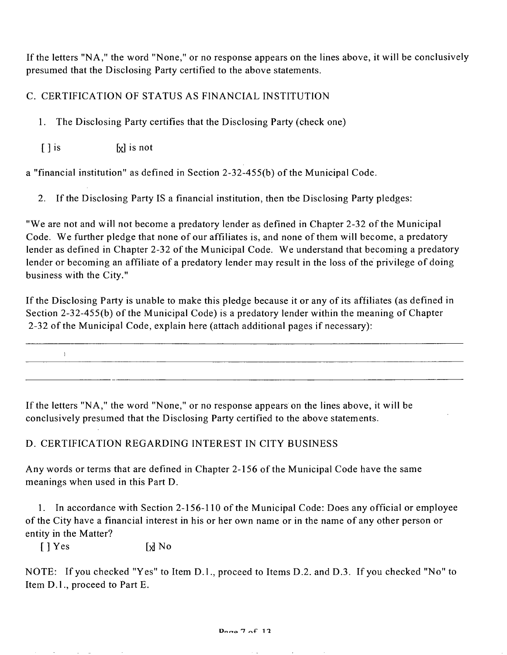If the letters "NA," the word "None," or no response appears on the lines above, it will be conclusively presumed that the Disclosing Party certified to the above statements.

C. CERTIFICATION OF STATUS AS FINANCIAL INSTITUTION

1. The Disclosing Party certifies that the Disclosing Party (check one)

 $\begin{bmatrix} \end{bmatrix}$  is not

 $\mathcal{X}$ 

a "financial institution" as defined in Section 2-32-455(b) of the Municipal Code.

2. If the Disclosing Party IS a financial institution, then tbe Disclosing Party pledges:

"We are not and will not become a predatory lender as defined in Chapter 2-32 of the Municipal Code. We further pledge that none of our affiliates is, and none of them will become, a predatory lender as defined in Chapter 2-32 of the Municipal Code. We understand that becoming a predatory lender or becoming an affiliate of a predatory lender may result in the loss of the privilege of doing business with the City."

If the Disclosing Party is unable to make this pledge because it or any of its affiliates (as defined in Section 2-32-455(b) of the Municipal Code) is a predatory lender within the meaning of Chapter 2-32 of the Municipal Code, explain here (attach additional pages if necessary):

If the letters "NA," the word "None," or no response appears on the lines above, it will be conclusively presumed that the Disclosing Party certified to the above statements.

D. CERTIFICATION REGARDING INTEREST IN CITY BUSINESS

Any words or terms that are defined in Chapter 2-156 of the Municipal Code have the same meanings when used in this Part D.

1. In accordance with Section 2-156-110 of the Municipal Code: Does any official or employee of the City have a financial interest in his or her own name or in the name of any other person or entity in the Matter?

 $[$  ] Yes  $[$   $]$  No

and a strategic

NOTE: If you checked "Yes" to Item D.1., proceed to Items D.2. and D.3. If you checked "No" to Item D.l. , proceed to Part E.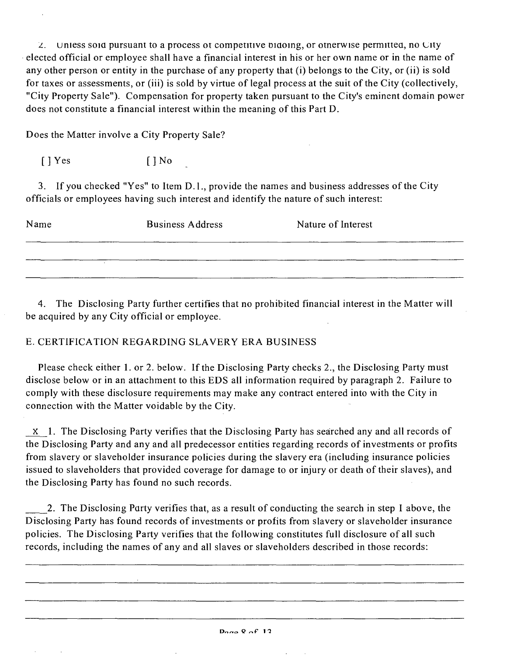I. unless soia pursuant to a process ot competitive Diaoing, or otnerwise permittea, no city elected official or employee shall have a financial interest in his or her own name or in the name of any other person or entity in the purchase of any property that (i) belongs to the City, or (ii) is sold for taxes or assessments, or (iii) is sold by virtue of legal process at the suit of the City (collectively, "City Property Sale"). Compensation for property taken pursuant to the City's eminent domain power does not constitute a financial interest within the meaning of this Part D.

Does the Matter involve a City Property Sale?

 $[$  ] Yes  $[$   $]$  No

3. If you checked "Yes" to Item D.1., provide the names and business addresses of the City officials or employees having such interest and idenfify the nature of such interest:

| Name | <b>Business Address</b> | Nature of Interest |
|------|-------------------------|--------------------|
|      |                         |                    |

4. The Disclosing Party further certifies that no prohibited financial interest in the Matter will be acquired by any City official or employee.

# E. CERTIFICATION REGARDING SLAVERY ERA BUSINESS

Please check either 1. or 2. below. If the Disclosing Party checks 2., the Disclosing Party must disclose below or in an attachment to this EDS all information required by paragraph 2. Failure to comply with these disclosure requirements may make any contract entered into with the City in connection with the Matter voidable by the City.

X 1. The Disclosing Party verifies that the Disclosing Party has searched any and all records of the Disclosing Party and any and all predecessor entities regarding records of investments or profits from slavery or slaveholder insurance policies during the slavery era (including insurance policies issued to slaveholders that provided coverage for damage to or injury or death of their slaves), and the Disclosing Party has found no such records.

1. The Disclosing Party verifies that, as a result of conducting the search in step I above, the Disclosing Party has found records of investments or profits from slavery or slaveholder insurance policies. The Disclosing Party verifies that the following constitutes full disclosure of all such records, including the names of any and all slaves or slaveholders described in those records: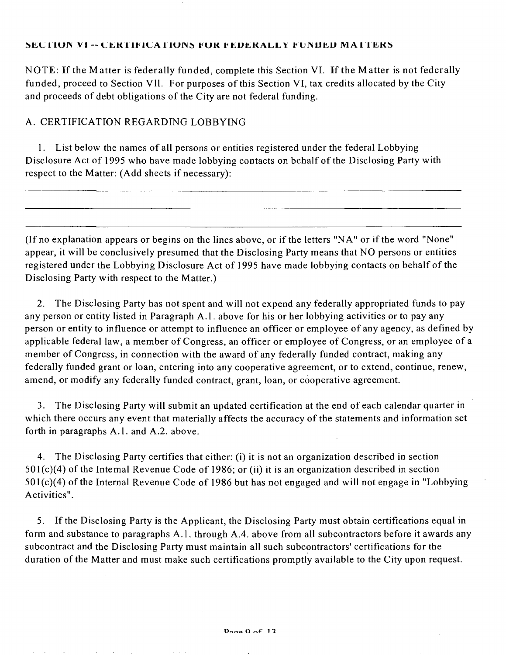#### SECTION VI -- CERTIFICATIONS FOR FEDERALLY FUNDED MATTERS

NOTE: If the Matter is federally funded, complete this Section VI. If the Matter is not federally funded, proceed to Section VII. For purposes of this Section VI, tax credits allocated by the City and proceeds of debt obligations of the City are not federal funding.

### A. CERTIFICATION REGARDING LOBBYING

1. List below the names of all persons or entities registered under the federal Lobbying Disclosure Act of 1995 who have made lobbying contacts on bchalf of the Disclosing Party with respect to the Matter: (Add sheets if necessary):

(If no explanation appears or begins on the lines above, or if the letters "NA" or if the word "None" appear, it will be conclusively presumed that the Disclosing Party means that NO persons or entities registered under the Lobbying Disclosure Act of 1995 have made lobbying contacts on behalf of the Disclosing Party with respect to the Matter.)

2. The Disclosing Party has not spent and will not expend any federally appropriated funds to pay any person or entity listed in Paragraph A.l . above for his or her lobbying activities or to pay any person or entity to influence or attempt to influence an officer or employee of any agency, as defined by applicable federal law, a member of Congress, an officer or employee of Congress, or an employee of a member of Congress, in connection with the award of any federally funded contract, making any federally funded grant or loan, entering into any cooperative agreement, or to extend, continue, renew, amend, or modify any federally funded contract, grant, loan, or cooperative agreement.

3. The Disclosing Party will submit an updated certification at the end of each calendar quarter in which there occurs any event that materially affects the accuracy of the statements and information set forth in paragraphs A.1. and A.2. above.

4. The Disclosing Party certifies that either: (i) it is not an organization described in section  $501(c)(4)$  of the Intemal Revenue Code of 1986; or (ii) it is an organization described in section 501(c)(4) of the Internal Revenue Code of 1986 but has not engaged and will not engage in "Lobbying Activities".

5. If the Disclosing Party is the Applicant, the Disclosing Party must obtain certificafions equal in form and substance to paragraphs A.l . through A.4. above from all subcontractors before it awards any subcontract and the Disclosing Party must maintain all such subcontractors' certifications for the duration of the Matter and must make such certifications promptly available to the City upon request.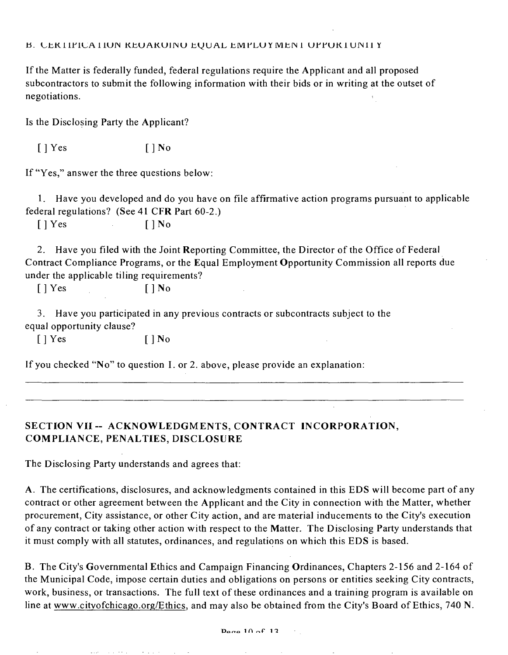#### B. CEK LIPICA LIUN KEUAKUINU EQUAL EMPLUY MENI UPPUK LUNII Y

If the Matter is federally funded, federal regulations require the Applicant and all proposed subcontractors to submit the following information with their bids or in writing at the outset of negotiations.

Is the Disclosing Party the Applicant?

 $\lceil \cdot \rceil$  Yes  $\lceil \cdot \rceil$  No

If "Yes," answer the three questions below:

1. Have you developed and do you have on file affirmative action programs pursuant to applicable federal regulations? (See 41 CFR Part 60-2.)

 $[ ] Yes \t\t [ ] No$ 

2. Have you filed with the Joint Reporting Committee, the Director of the Office of Federal Contract Compliance Programs, or the Equal Employment Opportunity Commission all reports due under the applicable filing requirements?

 $[ ]$  Yes  $[ ]$  No

3. Have you parficipated in any previous contracts or subcontracts subject to the equal opportunity clause?

 $[ ]$  Yes  $[ ]$  No

If you checked "No" to question I. or 2. above, please provide an explanation:

# SECTION VII -- ACKNOWLEDGMENTS, CONTRACT INCORPORATION, **COMPLIANCE, PENALTIES, DISCLOSURE**

The Disclosing Party understands and agrees that:

consideration of the control of

A. The certifications, disclosures, and acknowledgments contained in this EDS will become part of any contract or other agreement between the Applicant and the City in connection with the Matter, whether procurement. City assistance, or other City action, and are material inducements to the City's execution ofany contract or taking other action with respect to the Matter. The Disclosing Party understands that it must comply with all statutes, ordinances, and regulations on which this EDS is based.

B. The City's Governmental Ethics and Campaign Financing Ordinances, Chapters 2-156 and 2-164 of the Municipal Code, impose certain duties and obligations on persons or entities seeking City contracts, work, business, or transactions. The full text of these ordinances and a training program is available on line at www.citvofchicago.org/Ethics, and may also be obtained from the City's Board of Ethics, 740 N.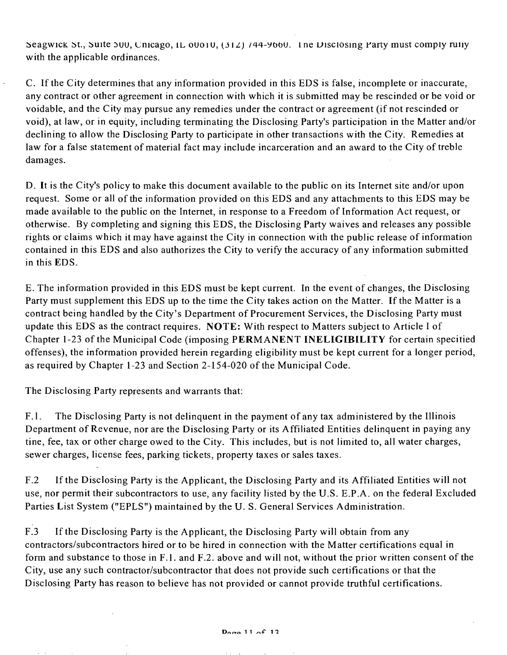Seagwick St., Suite 500, Chicago, IL 00010, (312) /44-9660. The Disclosing Party must comply rully with the applicable ordinances.

C. If the City determines that any information provided in this EDS is false, incomplete or inaccurate, any contract or other agreement in connection with which it is submitted may be rescinded or be void or voidable, and the City may pursue any remedies under the contract or agreement (if not rescinded or void), at law, or in equity, including terminating the Disclosing Party's participation in the Matter and/or declining to allow the Disclosing Party to participate in other transactions with the City. Remedies at law for a false statement of material fact may include incarceration and an award to the City of treble damages.

D. It is the City's policy to make this document available to the public on its Internet site and/or upon request. Some or all of the information provided on this EDS and any attachments to this EDS may be made available to the public on the Internet, in response to a Freedom of Information Act request, or otherwise. By completing and signing this EDS, the Disclosing Party waives and releases any possible rights or claims which it may have against the City in connection with the public release of information contained in this EDS and also authorizes the City to verify the accuracy of any information submitted in this EDS.

E. The information provided in this EDS must be kept current. In the event of changes, the Disclosing Party must supplement this EDS up to the time the City takes action on the Matter. If the Matter is a contract being handled by the City's Department of Procurement Services, the Disclosing Party must update this EDS as the contract requires. NOTE: With respect to Matters subject to Article I of Chapter 1-23 of the Municipal Code (imposing PERMANENT INELIGIBILITY for certain specitied offenses), the information provided herein regarding eligibility must be kept current for a longer period, as required by Chapter 1-23 and Section 2-154-020 of the Municipal Code.

The Disclosing Party represents and warrants that:

 $F.1.$ The Disclosing Party is not delinquent in the payment of any tax administered by the Illinois Department of Revenue, nor are the Disclosing Party or its Affiliated Entities delinguent in paying any tine, fee, tax or other charge owed to the City. This includes, but is not limited to, all water charges, sewer charges, license fees, parking tickets, property taxes or sales taxes.

 $F.2$ If the Disclosing Party is the Applicant, the Disclosing Party and its Affiliated Entities will not use, nor permit their subcontractors to use, any facility listed by the U.S. E.P.A. on the federal Excluded Parties List System ("EPLS") maintained by the U.S. General Services Administration.

 $F.3$ If the Disclosing Party is the Applicant, the Disclosing Party will obtain from any contractors/subcontractors hired or to be hired in connection with the Matter certifications equal in form and substance to those in F.1. and F.2. above and will not, without the prior written consent of the City, use any such contractor/subcontractor that does not provide such certifications or that the Disclosing Party has reason to believe has not provided or cannot provide truthful certifications.

 $\sim$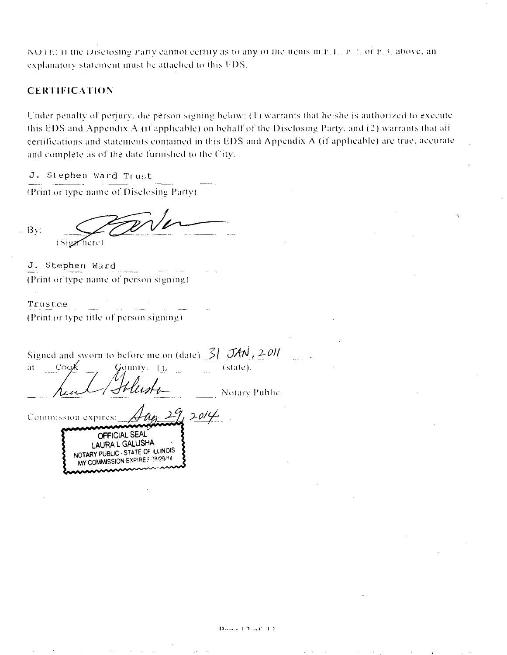NOTE: If the Disclosing Party cannot certify as to any of the flems in F.T., F.T. or F.3, above, an explanatory statement must be attached to this FDS.

### **CERTIFICATION**

Under penalty of perjury, die person signing below: (1) warrants that he she is authorized to execute this EDS and Appendix A (if applicable) on behalf of the Disclosing Party, and (2) warrants that all certifications and statements contained in this EDS and Appendix A (if applicable) are true, accurate and complete as of the date furnished to the City.

J. Stephen Ward Trust

(Print or type name of Disclosing Party).

 $-Bv$ (Sign fiere)

J. Stephen Ward (Print or type name of person signing)

Trustee (Print or type title of person signing).

Signed and sworn to before me on (date)  $\frac{3}{2}$  JAN, 2011 Gounty. (state). -Cook  $\mathbf{a} \mathbf{t}$  $\pm$ 

Notary Public.

 $2014$ Commission expires: OFFICIAL SEAL LAURA L GALUSHA NOTARY PUBLIC - STATE OF ILLINOIS MY COMMISSION EXPIRES 08/29/14